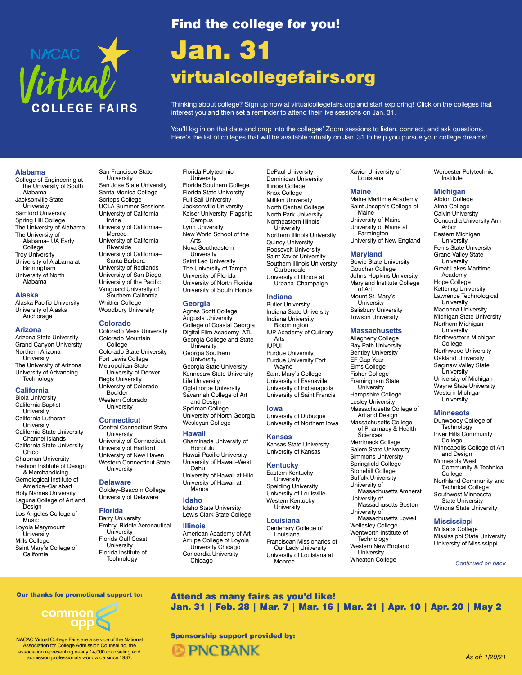

# Find the college for you!

# Jan. 31 [virtualcollegefairs.org](https://virtualcollegefairs.org)

Thinking about college? Sign up now at virtualcollegefairs.org and start exploring! Click on the colleges that interest you and then set a reminder to attend their live sessions on Jan. 31.

You'll log in on that date and drop into the colleges' Zoom sessions to listen, connect, and ask questions. Here's the list of colleges that will be available virtually on Jan. 31 to help you pursue your college dreams!

#### **Alabama**

College of Engineering at the University of South Alabama Jacksonville State University Samford University Spring Hill College The University of Alabama The University of Alabama– UA Early College Troy University University of Alabama at **Birmingham** University of North Alabama

## **Alaska**

Alaska Pacific University University of Alaska Anchorage

#### **Arizona**

Arizona State University Grand Canyon University Northern Arizona University The University of Arizona University of Advancing **Technology** 

#### **California**

Biola University California Baptist **University** California Lutheran University California State University– Channel Islands California State University– Chico Chapman University Fashion Institute of Design & Merchandising Gemological Institute of America–Carlsbad Holy Names University Laguna College of Art and Design Los Angeles College of **Music** Loyola Marymount University Mills College

Saint Mary's College of California

#### San Francisco State University San Jose State University Santa Monica College Scripps College UCLA Summer Sessions University of California– Irvine University of California– Merced University of California– **Riverside** University of California– Santa Barbara University of Redlands University of San Diego University of the Pacific Vanguard University of Southern California

Whittier College Woodbury University **Colorado** Colorado Mesa University

Colorado Mountain College

Colorado State University Fort Lewis College Metropolitan State University of Denver Regis University University of Colorado Boulder Western Colorado **University** 

## **Connecticut**

Central Connecticut State University University of Connecticut University of Hartford University of New Haven Western Connecticut State **University** 

## **Delaware**

Goldey–Beacom College University of Delaware

## **Florida**

Barry University Embry–Riddle Aeronautical **University** Florida Gulf Coast University Florida Institute of **Technology** 

#### Florida Polytechnic **University** Florida Southern College Florida State University

Full Sail University Jacksonville University Keiser University–Flagship **Campus** Lynn University New World School of the Arts

Nova Southeastern **University** Saint Leo University The University of Tampa University of Florida University of North Florida University of South Florida

#### **Georgia**

Agnes Scott College Augusta University College of Coastal Georgia Digital Film Academy–ATL Georgia College and State **University** Georgia Southern University Georgia State University Kennesaw State University Life University Oglethorpe University Savannah College of Art and Design Spelman College

University of North Georgia Wesleyan College

## **Hawaii**

Chaminade University of Honolulu Hawaii Pacific University University of Hawaii–West

Oahu University of Hawaii at Hilo University of Hawaii at Manoa

#### **Idaho**

Idaho State University Lewis-Clark State College

#### **Illinois**

American Academy of Art Arrupe College of Loyola University Chicago Concordia University Chicago

DePaul University Dominican University Illinois College Knox College Millikin University North Central College North Park University Northeastern Illinois **University** Northern Illinois University Quincy University Roosevelt University Saint Xavier University Southern Illinois University **Carbondale** University of Illinois at Urbana–Champaign

## **Indiana**

Butler University Indiana State University Indiana University **Bloomington** IUP Academy of Culinary Arts IUPUI Purdue University Purdue University Fort Wayne Saint Mary's College University of Evansville University of Indianapolis University of Saint Francis

#### **Iowa**

University of Dubuque University of Northern Iowa

**Kansas** Kansas State University

# University of Kansas

## **Kentucky**

Eastern Kentucky University Spalding University University of Louisville Western Kentucky University

## **Louisiana**

Centenary College of Louisiana Franciscan Missionaries of Our Lady University University of Louisiana at Monroe

Xavier University of Louisiana

## **Maine**

Maine Maritime Academy Saint Joseph's College of Maine University of Maine University of Maine at Farmington University of New England

## **Maryland**

Bowie State University Goucher College Johns Hopkins University Maryland Institute College  $of$  Art Mount St. Mary's University Salisbury University Towson University

#### **Massachusetts**

Allegheny College Bay Path University Bentley University EF Gap Year Elms College Fisher College Framingham State University Hampshire College Lesley University Massachusetts College of Art and Design Massachusetts College of Pharmacy & Health Sciences Merrimack College Salem State University Simmons University Springfield College Stonehill College Suffolk University University of Massachusetts Amherst University of Massachusetts Boston University of Massachusetts Lowell Wellesley College Wentworth Institute of Technology

Western New England University Wheaton College

Worcester Polytechnic Institute

## **Michigan**

Albion College Alma College Calvin University Concordia University Ann Arbor Eastern Michigan **University** Ferris State University Grand Valley State **University** Great Lakes Maritime Academy Hope College Kettering University Lawrence Technological University Madonna University Michigan State University Northern Michigan **University** Northwestern Michigan College Northwood University Oakland University Saginaw Valley State University University of Michigan Wayne State University Western Michigan **University Minnesota**  Dunwoody College of

**Technology** Inver Hills Community College Minneapolis College of Art and Design Minnesota West Community & Technical College Northland Community and Technical College Southwest Minnesota State University Winona State University

#### **Mississippi**

Millsaps College Mississippi State University University of Mississippi

*Continued on back*

Our thanks for promotional support to:

 $\mathop{\mathrm{common}}\limits_{\mathop{\mathrm{app}}\nolimits}\subset\mathop{\mathrm{Comp}}$ 

NACAC Virtual College Fairs are a service of the National Association for College Admission Counseling, the association representing nearly 14,000 counseling and admission professionals worldwide since 1937.

Attend as many fairs as you'd like! Jan. 31 | Feb. 28 | Mar. 7 | Mar. 16 | Mar. 21 | Apr. 10 | Apr. 20 | May 2

Sponsorship support provided by:

**© PNC BANK**